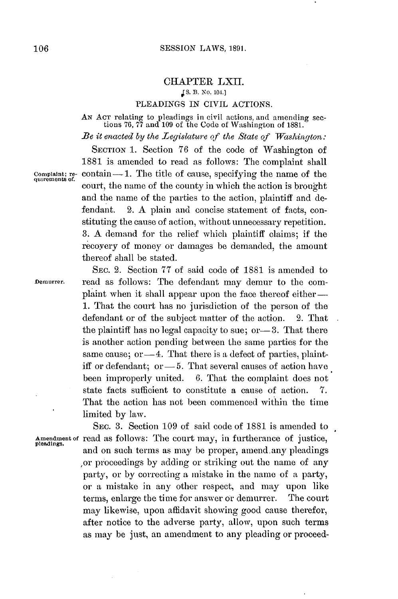## CHAPTER LXII. **J S. B. No. 104.]**

#### PLEADINGS **IN** CIVIL **ACTIONS.**

**AN ACT** relating to pleadings in civil actions, and amending sec- tions 76, **77** and **109** of the Code of Washington of **1881.**

*Be it enacted by the Legislature of the State of Washington:*

Complaint; re-<br>quirements of.

**SECTION 1.** Section **76** of the code of Washington of **1881** is amended to read as follows: The complaint shall contain-1. The title of cause, specifying the name of the court, the name of the county in which the action is brought and the name of the parties to the action, plaintiff and defendant. 2. **A** plain and concise statement of facts, constituting the cause of action, without unnecessary repetition. **3. A** demand for the relief which plaintiff claims; if the recoyery of money or damages be demanded, the amount thereof shall be stated.

SEC. 2. Section **77** of said code of **1881** is amended to **Demurrer.** read as follows: The defendant may demur to the complaint when it shall appear upon the face thereof either-**1.** That the court has no jurisdiction of the person of the defendant or of the subject matter of the action. 2. That the plaintiff has no legal capacity to sue; or – 3. That there is another action pending between the same parties for the same cause; or  $-4$ . That there is a defect of parties, plaintiff or defendant; or — 5. That several causes of action have been improperly united. **6.** That the complaint does not state facts sufficient to constitute a cause of action. *7.* That the action has not been commenced within the time limited **by** law.

**SEC. 3.** Section **109** of said code of **1881** is amended to **Amendment of** read as follows: The court may, in furtherance of justice, **pleadings.** and on such terms as may be proper, amend any pleadings ,or proceedings **by** adding or striking out the name of any party, or **by** correcting a mistake in the name of a party, or a mistake in any other respect, and may upon like terms, enlarge the time for answer or demurrer. The court may likewise, upon affidavit showing good cause therefor, after notice to the adverse party, allow, upon such terms as may **be** just, an amendment to any pleading or proceed